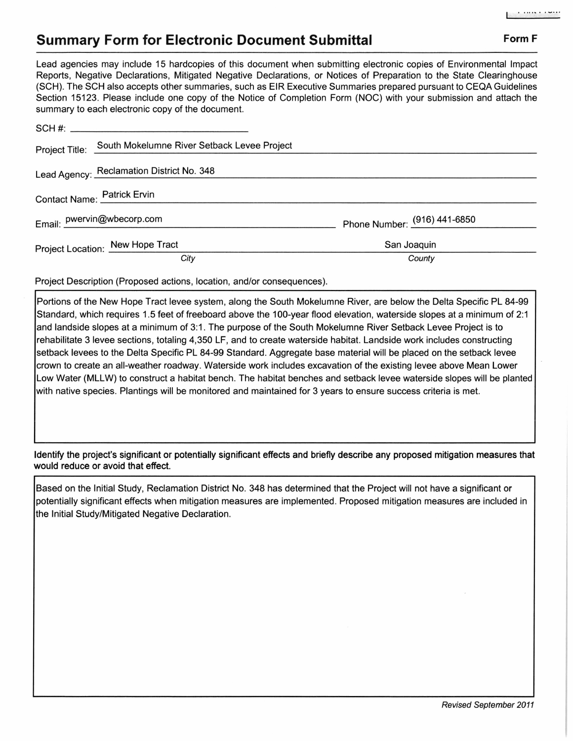## **Summary Form for Electronic Document Submittal Form F Form F**

Lead agencies may include 15 hardcopies of this document when submitting electronic copies of Environmental Impact Reports, Negative Declarations, Mitigated Negative Declarations, or Notices of Preparation to the State Clearinghouse (SCH). The SCH also accepts other summaries, such as EIR Executive Summaries prepared pursuant to CEQA Guidelines Section 15123. Please include one copy of the Notice of Completion Form (NOC) with your submission and attach the summary to each electronic copy of the document.

| Cammany to babilibroad only oppy of the abounter. |                                             |                              |
|---------------------------------------------------|---------------------------------------------|------------------------------|
|                                                   |                                             |                              |
| Project Title:                                    | South Mokelumne River Setback Levee Project |                              |
| Lead Agency: Reclamation District No. 348         |                                             |                              |
| Contact Name: Patrick Ervin                       |                                             |                              |
| Email: pwervin@wbecorp.com                        |                                             | Phone Number: (916) 441-6850 |
| Project Location: New Hope Tract                  |                                             | San Joaquin                  |
|                                                   | City                                        | County                       |

Project Description (Proposed actions, location, and/or consequences).

Portions of the New Hope Tract levee system, along the South Mokelumne River, are below the Delta Specific PL 84-99 Standard, which requires 1.5 feet of freeboard above the 100-year flood elevation, waterside slopes at a minimum of 2:1 and landside slopes at a minimum of 3:1 . The purpose of the South Mokelumne River Setback Levee Project is to rehabilitate 3 levee sections, totaling 4,350 LF, and to create waterside habitat. Landside work includes constructing setback levees to the Delta Specific PL 84-99 Standard. Aggregate base material will be placed on the setback levee crown to create an all-weather roadway. Waterside work includes excavation of the existing levee above Mean Lower Low Water (MLLW) to construct a habitat bench. The habitat benches and setback levee waterside slopes will be planted with native species. Plantings will be monitored and maintained for 3 years to ensure success criteria is met.

Identify the project's significant or potentially significant effects and briefly describe any proposed mitigation measures that would reduce or avoid that effect.

Based on the Initial Study, Reclamation District No. 348 has determined that the Project will not have a significant or potentially significant effects when mitigation measures are implemented. Proposed mitigation measures are included in the Initial Study/Mitigated Negative Declaration.